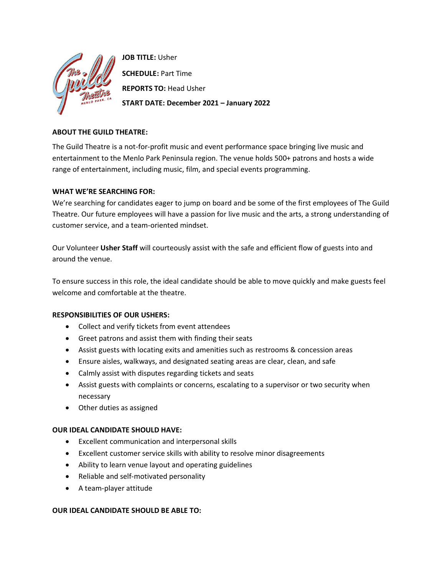

**JOB TITLE:** Usher

**SCHEDULE:** Part Time **REPORTS TO:** Head Usher **START DATE: December 2021 – January 2022**

# **ABOUT THE GUILD THEATRE:**

The Guild Theatre is a not-for-profit music and event performance space bringing live music and entertainment to the Menlo Park Peninsula region. The venue holds 500+ patrons and hosts a wide range of entertainment, including music, film, and special events programming.

# **WHAT WE'RE SEARCHING FOR:**

We're searching for candidates eager to jump on board and be some of the first employees of The Guild Theatre. Our future employees will have a passion for live music and the arts, a strong understanding of customer service, and a team-oriented mindset.

Our Volunteer **Usher Staff** will courteously assist with the safe and efficient flow of guests into and around the venue.

To ensure success in this role, the ideal candidate should be able to move quickly and make guests feel welcome and comfortable at the theatre.

## **RESPONSIBILITIES OF OUR USHERS:**

- Collect and verify tickets from event attendees
- Greet patrons and assist them with finding their seats
- Assist guests with locating exits and amenities such as restrooms & concession areas
- Ensure aisles, walkways, and designated seating areas are clear, clean, and safe
- Calmly assist with disputes regarding tickets and seats
- Assist guests with complaints or concerns, escalating to a supervisor or two security when necessary
- Other duties as assigned

## **OUR IDEAL CANDIDATE SHOULD HAVE:**

- Excellent communication and interpersonal skills
- Excellent customer service skills with ability to resolve minor disagreements
- Ability to learn venue layout and operating guidelines
- Reliable and self-motivated personality
- A team-player attitude

## **OUR IDEAL CANDIDATE SHOULD BE ABLE TO:**